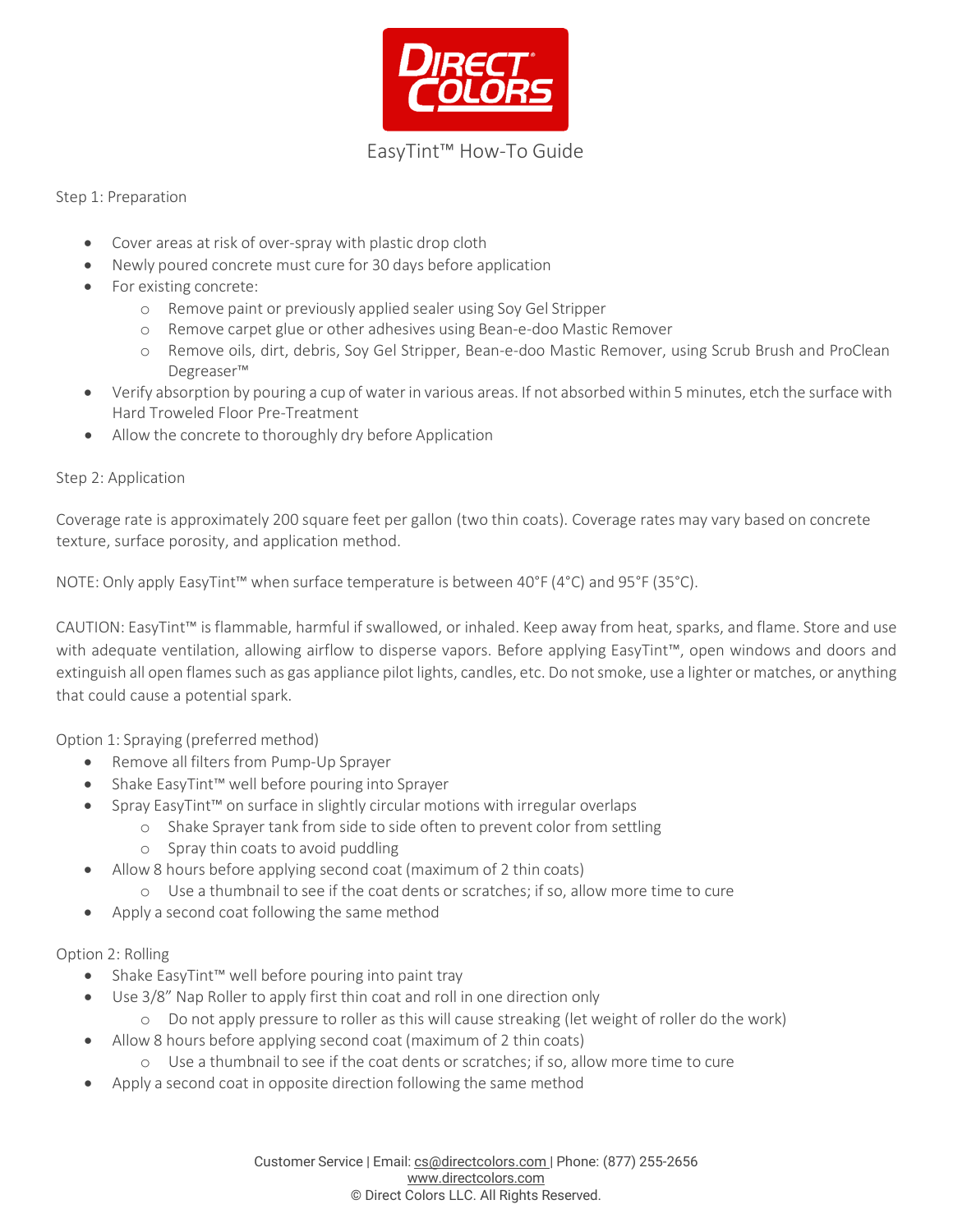

## Step 1: Preparation

- Cover areas at risk of over-spray with plastic drop cloth
- Newly poured concrete must cure for 30 days before application
- For existing concrete:
	- o Remove paint or previously applied sealer using Soy Gel Stripper
	- o Remove carpet glue or other adhesives using Bean-e-doo Mastic Remover
	- o Remove oils, dirt, debris, Soy Gel Stripper, Bean-e-doo Mastic Remover, using Scrub Brush and ProClean Degreaser™
- Verify absorption by pouring a cup of water in various areas. If not absorbed within 5 minutes, etch the surfacewith Hard Troweled Floor Pre-Treatment
- Allow the concrete to thoroughly dry before Application

#### Step 2: Application

Coverage rate is approximately 200 square feet per gallon (two thin coats). Coverage rates may vary based on concrete texture, surface porosity, and application method.

NOTE: Only apply EasyTint™ when surface temperature is between 40°F (4°C) and 95°F (35°C).

CAUTION: EasyTint™ is flammable, harmful if swallowed, or inhaled. Keep away from heat, sparks, and flame. Store and use with adequate ventilation, allowing airflow to disperse vapors. Before applying EasyTint™, open windows and doors and extinguish all open flames such as gas appliance pilot lights, candles, etc. Do not smoke, use a lighter or matches, or anything that could cause a potential spark.

Option 1: Spraying (preferred method)

- Remove all filters from Pump-Up Sprayer
- Shake EasyTint™ well before pouring into Sprayer
- Spray EasyTint™ on surface in slightly circular motions with irregular overlaps
	- o Shake Sprayer tank from side to side often to prevent color from settling
	- o Spray thin coats to avoid puddling
	- Allow 8 hours before applying second coat (maximum of 2 thin coats)
		- o Use a thumbnail to see if the coat dents or scratches; if so, allow more time to cure
- Apply a second coat following the same method

# Option 2: Rolling

- Shake EasyTint™ well before pouring into paint tray
	- Use 3/8" Nap Roller to apply first thin coat and roll in one direction only
		- o Do not apply pressure to roller as this will cause streaking (let weight of roller do the work)
- Allow 8 hours before applying second coat (maximum of 2 thin coats)
	- o Use a thumbnail to see if the coat dents or scratches; if so, allow more time to cure
- Apply a second coat in opposite direction following the same method